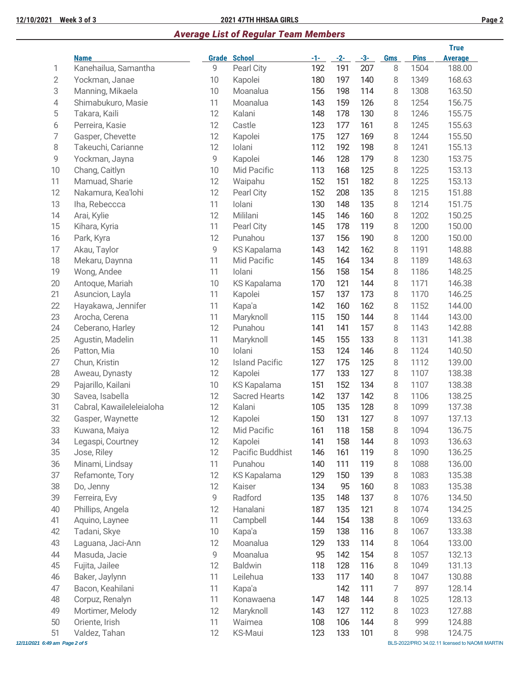### **12/10/2021 Week 3 of 3 2021 47TH HHSAA GIRLS Page 2**

# *Average List of Regular Team Members*

|                                |                           |    |                       |       |       |       |            |             | <b>True</b>                                    |
|--------------------------------|---------------------------|----|-----------------------|-------|-------|-------|------------|-------------|------------------------------------------------|
|                                | <b>Name</b>               |    | <b>Grade School</b>   | $-1-$ | $-2-$ | $-3-$ | <b>Gms</b> | <b>Pins</b> | <b>Average</b>                                 |
| 1                              | Kanehailua, Samantha      | 9  | Pearl City            | 192   | 191   | 207   | 8          | 1504        | 188.00                                         |
| 2                              | Yockman, Janae            | 10 | Kapolei               | 180   | 197   | 140   | 8          | 1349        | 168.63                                         |
| 3                              | Manning, Mikaela          | 10 | Moanalua              | 156   | 198   | 114   | 8          | 1308        | 163.50                                         |
| 4                              | Shimabukuro, Masie        | 11 | Moanalua              | 143   | 159   | 126   | 8          | 1254        | 156.75                                         |
| 5                              | Takara, Kaili             | 12 | Kalani                | 148   | 178   | 130   | 8          | 1246        | 155.75                                         |
| 6                              | Perreira, Kasie           | 12 | Castle                | 123   | 177   | 161   | 8          | 1245        | 155.63                                         |
| 7                              | Gasper, Chevette          | 12 | Kapolei               | 175   | 127   | 169   | 8          | 1244        | 155.50                                         |
| 8                              | Takeuchi, Carianne        | 12 | Iolani                | 112   | 192   | 198   | 8          | 1241        | 155.13                                         |
| 9                              | Yockman, Jayna            | 9  | Kapolei               | 146   | 128   | 179   | 8          | 1230        | 153.75                                         |
| 10                             | Chang, Caitlyn            | 10 | Mid Pacific           | 113   | 168   | 125   | 8          | 1225        | 153.13                                         |
| 11                             | Mamuad, Sharie            | 12 | Waipahu               | 152   | 151   | 182   | 8          | 1225        | 153.13                                         |
| 12                             | Nakamura, Kea'lohi        | 12 | Pearl City            | 152   | 208   | 135   | 8          | 1215        | 151.88                                         |
| 13                             | Iha, Rebeccca             | 11 | Iolani                | 130   | 148   | 135   | 8          | 1214        | 151.75                                         |
| 14                             | Arai, Kylie               | 12 | Mililani              | 145   | 146   | 160   | 8          | 1202        | 150.25                                         |
| 15                             | Kihara, Kyria             | 11 | Pearl City            | 145   | 178   | 119   | 8          | 1200        | 150.00                                         |
| 16                             | Park, Kyra                | 12 | Punahou               | 137   | 156   | 190   | 8          | 1200        | 150.00                                         |
| 17                             | Akau, Taylor              | 9  | <b>KS Kapalama</b>    | 143   | 142   | 162   | 8          | 1191        | 148.88                                         |
| 18                             | Mekaru, Daynna            | 11 | Mid Pacific           | 145   | 164   | 134   | 8          | 1189        | 148.63                                         |
| 19                             | Wong, Andee               | 11 | Iolani                | 156   | 158   | 154   | 8          | 1186        | 148.25                                         |
| 20                             | Antoque, Mariah           | 10 | KS Kapalama           | 170   | 121   | 144   | 8          | 1171        | 146.38                                         |
| 21                             | Asuncion, Layla           | 11 | Kapolei               | 157   | 137   | 173   | 8          | 1170        | 146.25                                         |
| 22                             | Hayakawa, Jennifer        | 11 | Kapa'a                | 142   | 160   | 162   | 8          | 1152        | 144.00                                         |
| 23                             | Arocha, Cerena            | 11 | Maryknoll             | 115   | 150   | 144   | 8          | 1144        | 143.00                                         |
| 24                             | Ceberano, Harley          | 12 | Punahou               | 141   | 141   | 157   | 8          | 1143        | 142.88                                         |
| 25                             | Agustin, Madelin          | 11 | Maryknoll             | 145   | 155   | 133   | 8          | 1131        | 141.38                                         |
| 26                             | Patton, Mia               | 10 | Iolani                | 153   | 124   | 146   | 8          | 1124        | 140.50                                         |
| 27                             | Chun, Kristin             | 12 | <b>Island Pacific</b> | 127   | 175   | 125   | 8          | 1112        | 139.00                                         |
| 28                             | Aweau, Dynasty            | 12 | Kapolei               | 177   | 133   | 127   | 8          | 1107        | 138.38                                         |
| 29                             | Pajarillo, Kailani        | 10 | <b>KS Kapalama</b>    | 151   | 152   | 134   | 8          | 1107        | 138.38                                         |
| 30                             | Savea, Isabella           | 12 | <b>Sacred Hearts</b>  | 142   | 137   | 142   | 8          | 1106        | 138.25                                         |
| 31                             | Cabral, Kawaileleleialoha | 12 | Kalani                | 105   | 135   | 128   | 8          | 1099        | 137.38                                         |
| 32                             | Gasper, Waynette          | 12 | Kapolei               | 150   | 131   | 127   | 8          | 1097        | 137.13                                         |
| 33                             | Kuwana, Maiya             | 12 | Mid Pacific           | 161   | 118   | 158   | 8          | 1094        | 136.75                                         |
| 34                             | Legaspi, Courtney         | 12 | Kapolei               | 141   | 158   | 144   | 8          | 1093        | 136.63                                         |
| 35                             | Jose, Riley               | 12 | Pacific Buddhist      | 146   | 161   | 119   | 8          | 1090        | 136.25                                         |
| 36                             | Minami, Lindsay           | 11 | Punahou               | 140   | 111   | 119   | 8          | 1088        | 136.00                                         |
| 37                             | Refamonte, Tory           | 12 | <b>KS Kapalama</b>    | 129   | 150   | 139   | 8          | 1083        | 135.38                                         |
| 38                             | Do, Jenny                 | 12 | Kaiser                | 134   | 95    | 160   | 8          | 1083        | 135.38                                         |
| 39                             | Ferreira, Evy             | 9  | Radford               | 135   | 148   | 137   | 8          | 1076        | 134.50                                         |
| 40                             | Phillips, Angela          | 12 | Hanalani              | 187   | 135   | 121   | 8          | 1074        | 134.25                                         |
| 41                             | Aquino, Laynee            | 11 | Campbell              | 144   | 154   | 138   | 8          | 1069        | 133.63                                         |
| 42                             | Tadani, Skye              | 10 | Kapa'a                | 159   | 138   | 116   | 8          | 1067        | 133.38                                         |
| 43                             | Laguana, Jaci-Ann         | 12 | Moanalua              | 129   | 133   | 114   | 8          | 1064        | 133.00                                         |
| 44                             | Masuda, Jacie             | 9  | Moanalua              | 95    | 142   | 154   | 8          | 1057        | 132.13                                         |
| 45                             | Fujita, Jailee            | 12 | <b>Baldwin</b>        | 118   | 128   | 116   | 8          | 1049        | 131.13                                         |
| 46                             | Baker, Jaylynn            | 11 | Leilehua              | 133   | 117   | 140   | 8          | 1047        | 130.88                                         |
| 47                             | Bacon, Keahilani          | 11 | Kapa'a                |       | 142   | 111   | 7          | 897         | 128.14                                         |
| 48                             | Corpuz, Renalyn           | 11 | Konawaena             | 147   | 148   | 144   | 8          | 1025        | 128.13                                         |
| 49                             | Mortimer, Melody          | 12 | Maryknoll             | 143   | 127   | 112   | 8          | 1023        | 127.88                                         |
| 50                             | Oriente, Irish            | 11 | Waimea                | 108   | 106   | 144   | 8          | 999         | 124.88                                         |
| 51                             | Valdez, Tahan             | 12 | KS-Maui               | 123   | 133   | 101   | 8          | 998         | 124.75                                         |
| 12/11/2021 6:49 am Page 2 of 5 |                           |    |                       |       |       |       |            |             | BLS-2022/PRO 34.02.11 licensed to NAOMI MARTIN |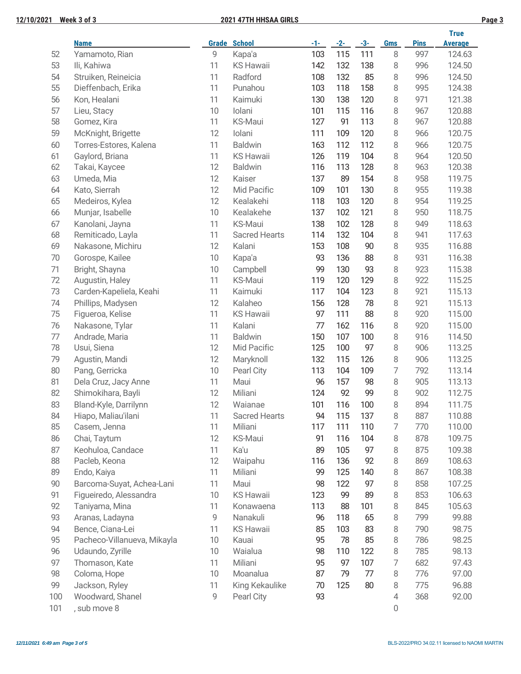|        |                             |       |                      |       |       |       |                |             | <b>True</b>    |
|--------|-----------------------------|-------|----------------------|-------|-------|-------|----------------|-------------|----------------|
|        | <b>Name</b>                 | Grade | <b>School</b>        | $-1-$ | $-2-$ | $-3-$ | <b>Gms</b>     | <b>Pins</b> | <b>Average</b> |
| 52     | Yamamoto, Rian              | 9     | Kapa'a               | 103   | 115   | 111   | 8              | 997         | 124.63         |
| 53     | Ili, Kahiwa                 | 11    | <b>KS Hawaii</b>     | 142   | 132   | 138   | 8              | 996         | 124.50         |
| 54     | Struiken, Reineicia         | 11    | Radford              | 108   | 132   | 85    | 8              | 996         | 124.50         |
| 55     | Dieffenbach, Erika          | 11    | Punahou              | 103   | 118   | 158   | 8              | 995         | 124.38         |
| 56     | Kon, Healani                | 11    | Kaimuki              | 130   | 138   | 120   | 8              | 971         | 121.38         |
| 57     | Lieu, Stacy                 | 10    | Iolani               | 101   | 115   | 116   | 8              | 967         | 120.88         |
| 58     | Gomez, Kira                 | 11    | <b>KS-Maui</b>       | 127   | 91    | 113   | 8              | 967         | 120.88         |
| 59     | McKnight, Brigette          | 12    | Iolani               | 111   | 109   | 120   | 8              | 966         | 120.75         |
| 60     | Torres-Estores, Kalena      | 11    | <b>Baldwin</b>       | 163   | 112   | 112   | 8              | 966         | 120.75         |
| 61     | Gaylord, Briana             | 11    | <b>KS Hawaii</b>     | 126   | 119   | 104   | 8              | 964         | 120.50         |
| 62     | Takai, Kaycee               | 12    | <b>Baldwin</b>       | 116   | 113   | 128   | 8              | 963         | 120.38         |
| 63     | Umeda, Mia                  | 12    | Kaiser               | 137   | 89    | 154   | 8              | 958         | 119.75         |
| 64     | Kato, Sierrah               | 12    | Mid Pacific          | 109   | 101   | 130   | 8              | 955         | 119.38         |
| 65     | Medeiros, Kylea             | 12    | Kealakehi            | 118   | 103   | 120   | 8              | 954         | 119.25         |
| 66     | Munjar, Isabelle            | 10    | Kealakehe            | 137   | 102   | 121   | 8              | 950         | 118.75         |
| 67     | Kanolani, Jayna             | 11    | <b>KS-Maui</b>       | 138   | 102   | 128   | 8              | 949         | 118.63         |
| 68     | Remiticado, Layla           | 11    | <b>Sacred Hearts</b> | 114   | 132   | 104   | 8              | 941         | 117.63         |
| 69     | Nakasone, Michiru           | 12    | Kalani               | 153   | 108   | 90    | 8              | 935         | 116.88         |
| 70     | Gorospe, Kailee             | 10    | Kapa'a               | 93    | 136   | 88    | 8              | 931         | 116.38         |
| 71     | Bright, Shayna              | 10    | Campbell             | 99    | 130   | 93    | 8              | 923         | 115.38         |
| 72     | Augustin, Haley             | 11    | <b>KS-Maui</b>       | 119   | 120   | 129   | 8              | 922         | 115.25         |
| 73     | Carden-Kapeliela, Keahi     | 11    | Kaimuki              | 117   | 104   | 123   | 8              | 921         | 115.13         |
| 74     | Phillips, Madysen           | 12    | Kalaheo              | 156   | 128   | 78    | 8              | 921         | 115.13         |
| 75     | Figueroa, Kelise            | 11    | <b>KS Hawaii</b>     | 97    | 111   | 88    | 8              | 920         | 115.00         |
| 76     | Nakasone, Tylar             | 11    | Kalani               | 77    | 162   | 116   | 8              | 920         | 115.00         |
| $77\,$ | Andrade, Maria              | 11    | <b>Baldwin</b>       | 150   | 107   | 100   | 8              | 916         | 114.50         |
| 78     | Usui, Siena                 | 12    | Mid Pacific          | 125   | 100   | 97    | 8              | 906         | 113.25         |
| 79     | Agustin, Mandi              | 12    | Maryknoll            | 132   | 115   | 126   | 8              | 906         | 113.25         |
| 80     | Pang, Gerricka              | 10    | Pearl City           | 113   | 104   | 109   | 7              | 792         | 113.14         |
| 81     | Dela Cruz, Jacy Anne        | 11    | Maui                 | 96    | 157   | 98    | 8              | 905         | 113.13         |
| 82     | Shimokihara, Bayli          | 12    | Miliani              | 124   | 92    | 99    | 8              | 902         | 112.75         |
| 83     | Bland-Kyle, Darrilynn       | 12    | Waianae              | 101   | 116   | 100   | 8              | 894         | 111.75         |
| 84     | Hiapo, Maliau'ilani         | 11    | <b>Sacred Hearts</b> | 94    | 115   | 137   | 8              | 887         | 110.88         |
| 85     | Casem, Jenna                | 11    | Miliani              | 117   | 111   | 110   | 7              | 770         | 110.00         |
| 86     | Chai, Taytum                | 12    | KS-Maui              | 91    | 116   | 104   | 8              | 878         | 109.75         |
| 87     | Keohuloa, Candace           | 11    | Ka'u                 | 89    | 105   | 97    | 8              | 875         | 109.38         |
| 88     | Pacleb, Keona               | 12    | Waipahu              | 116   | 136   | 92    | 8              | 869         | 108.63         |
| 89     | Endo, Kaiya                 | 11    | Miliani              | 99    | 125   | 140   | 8              | 867         | 108.38         |
| 90     | Barcoma-Suyat, Achea-Lani   | 11    | Maui                 | 98    | 122   | 97    | 8              | 858         | 107.25         |
| 91     | Figueiredo, Alessandra      | 10    | <b>KS Hawaii</b>     | 123   | 99    | 89    | 8              | 853         | 106.63         |
| 92     | Taniyama, Mina              | 11    | Konawaena            | 113   | 88    | 101   | 8              | 845         | 105.63         |
| 93     | Aranas, Ladayna             | 9     | Nanakuli             | 96    | 118   | 65    | 8              | 799         | 99.88          |
| 94     | Bence, Ciana-Lei            | 11    | <b>KS Hawaii</b>     | 85    | 103   | 83    | 8              | 790         | 98.75          |
| 95     | Pacheco-Villanueva, Mikayla | 10    | Kauai                | 95    | 78    | 85    | 8              | 786         | 98.25          |
| 96     | Udaundo, Zyrille            | 10    | Waialua              | 98    | 110   | 122   | 8              | 785         | 98.13          |
| 97     | Thomason, Kate              | 11    | Miliani              | 95    | 97    | 107   | $\overline{7}$ | 682         | 97.43          |
| 98     | Coloma, Hope                | 10    | Moanalua             | 87    | 79    | $77$  | 8              | 776         | 97.00          |
| 99     | Jackson, Ryley              | 11    | King Kekaulike       | 70    | 125   | 80    | 8              | 775         | 96.88          |
| 100    | Woodward, Shanel            | 9     | Pearl City           | 93    |       |       | 4              | 368         | 92.00          |
| 101    | , sub move 8                |       |                      |       |       |       | 0              |             |                |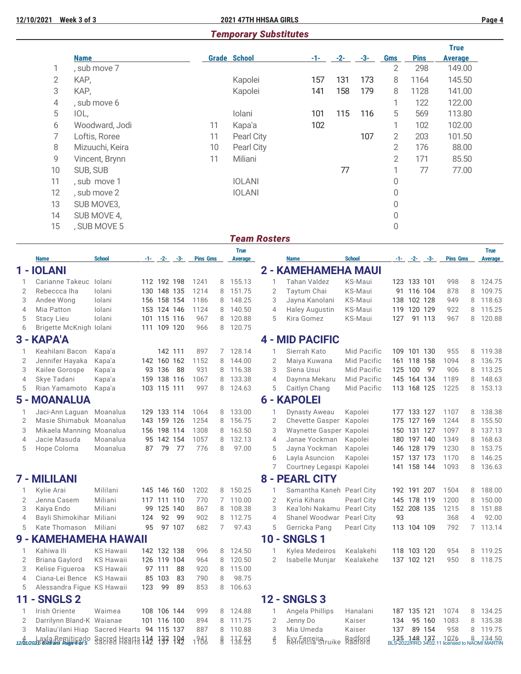# *Temporary Substitutes*

|                 |                 |    |                     |       |       |       |                |             | <b>True</b>    |
|-----------------|-----------------|----|---------------------|-------|-------|-------|----------------|-------------|----------------|
|                 | <b>Name</b>     |    | <b>Grade School</b> | $-1-$ | $-2-$ | $-3-$ | Gms            | <b>Pins</b> | <b>Average</b> |
|                 | , sub move 7    |    |                     |       |       |       | 2              | 298         | 149.00         |
| $\overline{2}$  | KAP,            |    | Kapolei             | 157   | 131   | 173   | 8              | 1164        | 145.50         |
| 3               | KAP,            |    | Kapolei             | 141   | 158   | 179   | 8              | 1128        | 141.00         |
| 4               | , sub move 6    |    |                     |       |       |       | 1              | 122         | 122.00         |
| 5               | IOL,            |    | Iolani              | 101   | 115   | 116   | 5              | 569         | 113.80         |
| 6               | Woodward, Jodi  | 11 | Kapa'a              | 102   |       |       |                | 102         | 102.00         |
| 7               | Loftis, Roree   | 11 | Pearl City          |       |       | 107   | $\overline{2}$ | 203         | 101.50         |
| 8               | Mizuuchi, Keira | 10 | Pearl City          |       |       |       | 2              | 176         | 88.00          |
| 9               | Vincent, Brynn  | 11 | Miliani             |       |       |       | 2              | 171         | 85.50          |
| 10 <sup>°</sup> | SUB, SUB        |    |                     |       | 77    |       |                | 77          | 77.00          |
| 11              | , sub move 1    |    | <b>IOLANI</b>       |       |       |       | 0              |             |                |
| 12              | , sub move 2    |    | <b>IOLANI</b>       |       |       |       | 0              |             |                |
| 13              | SUB MOVE3,      |    |                     |       |       |       | 0              |             |                |
| 14              | SUB MOVE 4,     |    |                     |       |       |       | 0              |             |                |
| 15              | , SUB MOVE 5    |    |                     |       |       |       | 0              |             |                |

### *Team Rosters*

|                |                                                      |                          |     |             |                    |                 |   | <b>True</b>    |        |                |                                   |                |                                  |                    |                 |   | <b>True</b>              |
|----------------|------------------------------------------------------|--------------------------|-----|-------------|--------------------|-----------------|---|----------------|--------|----------------|-----------------------------------|----------------|----------------------------------|--------------------|-----------------|---|--------------------------|
|                | <b>Name</b>                                          | <b>School</b>            |     |             | $-1 - (-2 - (-3 -$ | <b>Pins Gms</b> |   | <b>Average</b> |        |                | Name                              | <b>School</b>  |                                  | $-1 - (-2 - (-3 -$ | <b>Pins Gms</b> |   | <b>Average</b>           |
|                | 1 - IOLANI                                           |                          |     |             |                    |                 |   |                |        |                | 2 - KAMEHAMEHA MAUI               |                |                                  |                    |                 |   |                          |
| 1              | Carianne Takeuc                                      | Iolani                   |     | 112 192 198 |                    | 1241            | 8 | 155.13         |        | 1              | Tahan Valdez                      | KS-Maui        | 123 133 101                      |                    | 998             | 8 | 124.75                   |
| 2              | Rebeccca Iha                                         | lolani                   |     | 130 148 135 |                    | 1214            | 8 | 151.75         |        | $\overline{2}$ | Taytum Chai                       | <b>KS-Maui</b> |                                  | 91 116 104         | 878             | 8 | 109.75                   |
| 3              | Andee Wong                                           | Iolani                   |     | 156 158 154 |                    | 1186            | 8 | 148.25         |        | 3              | Jayna Kanolani                    | KS-Maui        | 138 102 128                      |                    | 949             | 8 | 118.63                   |
| 4              | Mia Patton                                           | lolani                   |     | 153 124 146 |                    | 1124            | 8 | 140.50         |        | $\overline{4}$ | <b>Haley Augustin</b>             | <b>KS-Maui</b> | 119 120 129                      |                    | 922             | 8 | 115.25                   |
| 5              | <b>Stacy Lieu</b>                                    | lolani                   |     | 101 115 116 |                    | 967             | 8 | 120.88         |        | 5              | Kira Gomez                        | KS-Maui        | 127                              | 91 113             | 967             | 8 | 120.88                   |
| 6              | Brigette McKnigh Iolani                              |                          |     | 111 109 120 |                    | 966             | 8 | 120.75         |        |                |                                   |                |                                  |                    |                 |   |                          |
|                | 3 - KAPA'A                                           |                          |     |             |                    |                 |   |                |        |                | <b>4 - MID PACIFIC</b>            |                |                                  |                    |                 |   |                          |
| 1              | Keahilani Bacon                                      | Kapa'a                   |     | 142 111     |                    | 897             |   | 7 128.14       |        | 1              | Sierrah Kato                      | Mid Pacific    |                                  | 109 101 130        | 955             |   | 8 119.38                 |
| 2              | Jennifer Hayaka                                      | Kapa'a                   |     | 142 160 162 |                    | 1152            | 8 | 144.00         |        | $\overline{2}$ | Maiya Kuwana                      | Mid Pacific    |                                  | 161 118 158        | 1094            | 8 | 136.75                   |
| 3              | Kailee Gorospe                                       | Kapa'a                   |     | 93 136      | 88                 | 931             | 8 | 116.38         |        | 3              | Siena Usui                        | Mid Pacific    | 125 100                          | 97                 | 906             | 8 | 113.25                   |
| 4              | Skye Tadani                                          | Kapa'a                   |     | 159 138 116 |                    | 1067            | 8 | 133.38         |        | $\overline{4}$ | Daynna Mekaru                     | Mid Pacific    | 145 164 134                      |                    | 1189            | 8 | 148.63                   |
| 5              | Rian Yamamoto                                        | Kapa'a                   |     | 103 115 111 |                    | 997             | 8 | 124.63         |        | 5              | Caitlyn Chang                     | Mid Pacific    |                                  | 113 168 125        | 1225            | 8 | 153.13                   |
|                | <b>5 - MOANALUA</b>                                  |                          |     |             |                    |                 |   |                |        |                | <b>6 - KAPOLEI</b>                |                |                                  |                    |                 |   |                          |
| 1              | Jaci-Ann Laguan Moanalua                             |                          |     | 129 133 114 |                    | 1064            | 8 | 133.00         |        | $\mathbf{1}$   | Dynasty Aweau                     | Kapolei        | 177 133 127                      |                    | 1107            | 8 | 138.38                   |
| $\overline{2}$ | Masie Shimabuk Moanalua                              |                          |     | 143 159 126 |                    | 1254            | 8 | 156.75         |        | $\overline{2}$ | Chevette Gasper                   | Kapolei        | 175 127 169                      |                    | 1244            | 8 | 155.50                   |
| 3              | Mikaela Manning Moanalua                             |                          |     | 156 198 114 |                    | 1308            | 8 | 163.50         |        | 3              | Waynette Gasper Kapolei           |                | 150 131 127                      |                    | 1097            | 8 | 137.13                   |
| $\overline{4}$ | Jacie Masuda                                         | Moanalua                 |     | 95 142 154  |                    | 1057            | 8 | 132.13         |        | $\overline{4}$ | Janae Yockman                     | Kapolei        |                                  | 180 197 140        | 1349            | 8 | 168.63                   |
| 5              | Hope Coloma                                          | Moanalua                 | 87  | 79          | 77                 | 776             | 8 | 97.00          |        | 5              | Jayna Yockman                     | Kapolei        | 146 128 179                      |                    | 1230            | 8 | 153.75                   |
|                |                                                      |                          |     |             |                    |                 |   |                |        | 6              | Layla Asuncion                    | Kapolei        |                                  | 157 137 173        | 1170            | 8 | 146.25                   |
|                |                                                      |                          |     |             |                    |                 |   |                |        | 7              | Courtney Legaspi Kapolei          |                |                                  | 141 158 144        | 1093            | 8 | 136.63                   |
|                | 7 - MILILANI                                         |                          |     |             |                    |                 |   |                |        |                | <b>8 - PEARL CITY</b>             |                |                                  |                    |                 |   |                          |
| $\mathbf{1}$   | Kylie Arai                                           | Mililani                 |     | 145 146 160 |                    | 1202            | 8 | 150.25         |        | $\mathbf{1}$   | Samantha Kaneh Pearl City         |                | 192 191 207                      |                    | 1504            |   | 8 188.00                 |
| 2              | Jenna Casem                                          | Miliani                  |     | 117 111 110 |                    | 770             |   | 7 110.00       |        | 2              | Kyria Kihara                      | Pearl City     | 145 178 119                      |                    | 1200            | 8 | 150.00                   |
| 3              | Kaiya Endo                                           | Miliani                  |     | 99 125 140  |                    | 867             | 8 | 108.38         |        | 3              | Kea'lohi Nakamu                   | Pearl City     |                                  | 152 208 135        | 1215            | 8 | 151.88                   |
| 4              | Bayli Shimokihar                                     | Miliani                  | 124 | 92          | 99                 | 902             | 8 | 112.75         |        | $\overline{4}$ | Shanel Woodwar                    | Pearl City     | 93                               |                    | 368             | 4 | 92.00                    |
| 5              | Kate Thomason                                        | Miliani                  | 95  |             | 97 107             | 682             | 7 | 97.43          |        | 5              | Gerricka Pang                     | Pearl City     | 113 104 109                      |                    | 792             |   | 7 113.14                 |
|                | 9 - KAMEHAMEHA HAWAII                                |                          |     |             |                    |                 |   |                | $10 -$ |                | <b>SNGLS1</b>                     |                |                                  |                    |                 |   |                          |
| 1              | Kahiwa Ili                                           | <b>KS Hawaii</b>         |     | 142 132 138 |                    | 996             | 8 | 124.50         |        | 1              | Kylea Medeiros                    | Kealakehi      |                                  | 118 103 120        | 954             | 8 | 119.25                   |
| 2              | Briana Gaylord                                       | <b>KS Hawaii</b>         |     | 126 119 104 |                    | 964             | 8 | 120.50         |        | $\overline{2}$ | Isabelle Munjar                   | Kealakehe      | 137 102 121                      |                    | 950             | 8 | 118.75                   |
| 3              | Kelise Figueroa                                      | <b>KS Hawaii</b>         |     | 97 111      | 88                 | 920             | 8 | 115.00         |        |                |                                   |                |                                  |                    |                 |   |                          |
| 4              | Ciana-Lei Bence                                      | <b>KS Hawaii</b>         |     | 85 103      | 83                 | 790             | 8 | 98.75          |        |                |                                   |                |                                  |                    |                 |   |                          |
| 5              | Alessandra Figue KS Hawaii                           |                          | 123 | 99          | 89                 | 853             | 8 | 106.63         |        |                |                                   |                |                                  |                    |                 |   |                          |
| 11             | <b>SNGLS 2</b><br>٠                                  |                          |     |             |                    |                 |   |                | $12 -$ |                | <b>SNGLS3</b>                     |                |                                  |                    |                 |   |                          |
| $\mathbf{1}$   | Irish Oriente                                        | Waimea                   |     | 108 106 144 |                    | 999             | 8 | 124.88         |        | 1              | Angela Phillips                   | Hanalani       | 187 135 121                      |                    | 1074            | 8 | 134.25                   |
| 2              | Darrilynn Bland-K Waianae                            |                          |     | 101 116 100 |                    | 894             | 8 | 111.75         |        | $\overline{2}$ | Jenny Do                          | Kaiser         | 134                              | 95 160             | 1083            | 8 | 135.38                   |
| 3              | Maliau'ilani Hiap                                    | Sacred Hearts 94 115 137 |     |             |                    | 887             | 8 | 110.88         |        | 3              | Mia Umeda                         | Kaiser         | 137                              | 89 154             | 958             | 8 | 119.75                   |
|                | 1251/2018 Buyla Remiticado Sacred Hearts 114 137 124 |                          |     |             |                    | 1941            | g | 138:23         |        | $\frac{4}{5}$  | Evy Ferreira<br>Réfneicia Struike | <b>Radford</b> | 135 148 137<br>BLS-2022/PRO 3402 |                    | 1076            |   | 8 134 50<br>NAOMI MARTIN |